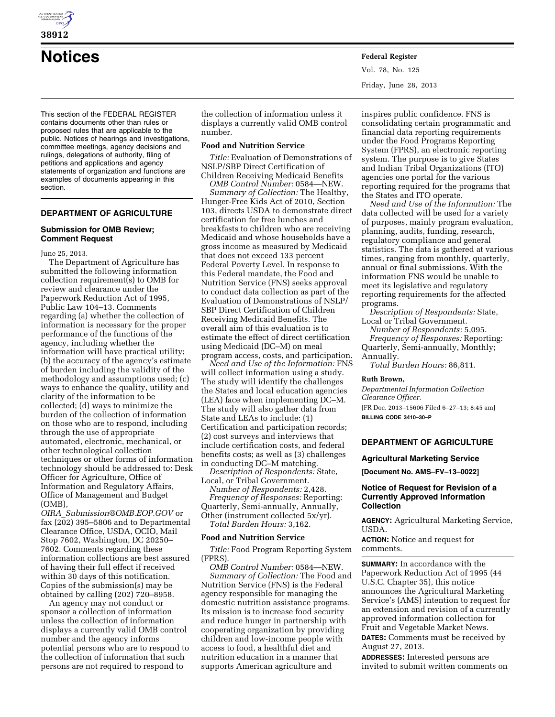

**38912** 

**Notices Federal Register**

This section of the FEDERAL REGISTER contains documents other than rules or proposed rules that are applicable to the public. Notices of hearings and investigations, committee meetings, agency decisions and rulings, delegations of authority, filing of petitions and applications and agency statements of organization and functions are examples of documents appearing in this section.

# **DEPARTMENT OF AGRICULTURE**

### **Submission for OMB Review; Comment Request**

June 25, 2013.

The Department of Agriculture has submitted the following information collection requirement(s) to OMB for review and clearance under the Paperwork Reduction Act of 1995, Public Law 104–13. Comments regarding (a) whether the collection of information is necessary for the proper performance of the functions of the agency, including whether the information will have practical utility; (b) the accuracy of the agency's estimate of burden including the validity of the methodology and assumptions used; (c) ways to enhance the quality, utility and clarity of the information to be collected; (d) ways to minimize the burden of the collection of information on those who are to respond, including through the use of appropriate automated, electronic, mechanical, or other technological collection techniques or other forms of information technology should be addressed to: Desk Officer for Agriculture, Office of Information and Regulatory Affairs, Office of Management and Budget (OMB),

*OIRA*\_*[Submission@OMB.EOP.GOV](mailto:OIRA_Submission@OMB.EOP.GOV)* or fax (202) 395–5806 and to Departmental Clearance Office, USDA, OCIO, Mail Stop 7602, Washington, DC 20250– 7602. Comments regarding these information collections are best assured of having their full effect if received within 30 days of this notification. Copies of the submission(s) may be obtained by calling (202) 720–8958.

An agency may not conduct or sponsor a collection of information unless the collection of information displays a currently valid OMB control number and the agency informs potential persons who are to respond to the collection of information that such persons are not required to respond to

the collection of information unless it displays a currently valid OMB control number.

#### **Food and Nutrition Service**

*Title:* Evaluation of Demonstrations of NSLP/SBP Direct Certification of Children Receiving Medicaid Benefits

*OMB Control Number:* 0584—NEW. *Summary of Collection:* The Healthy, Hunger-Free Kids Act of 2010, Section 103, directs USDA to demonstrate direct certification for free lunches and breakfasts to children who are receiving Medicaid and whose households have a gross income as measured by Medicaid that does not exceed 133 percent Federal Poverty Level. In response to this Federal mandate, the Food and Nutrition Service (FNS) seeks approval to conduct data collection as part of the Evaluation of Demonstrations of NSLP/ SBP Direct Certification of Children Receiving Medicaid Benefits. The overall aim of this evaluation is to estimate the effect of direct certification using Medicaid (DC–M) on meal program access, costs, and participation.

*Need and Use of the Information:* FNS will collect information using a study. The study will identify the challenges the States and local education agencies (LEA) face when implementing DC–M. The study will also gather data from State and LEAs to include: (1) Certification and participation records; (2) cost surveys and interviews that include certification costs, and federal benefits costs; as well as (3) challenges in conducting DC–M matching.

*Description of Respondents:* State, Local, or Tribal Government.

*Number of Respondents:* 2,428. *Frequency of Responses:* Reporting: Quarterly, Semi-annually, Annually, Other (instrument collected 5x/yr). *Total Burden Hours:* 3,162.

### **Food and Nutrition Service**

*Title:* Food Program Reporting System (FPRS).

*OMB Control Number:* 0584—NEW. *Summary of Collection:* The Food and Nutrition Service (FNS) is the Federal agency responsible for managing the domestic nutrition assistance programs. Its mission is to increase food security and reduce hunger in partnership with cooperating organization by providing children and low-income people with access to food, a healthful diet and nutrition education in a manner that supports American agriculture and

inspires public confidence. FNS is consolidating certain programmatic and financial data reporting requirements under the Food Programs Reporting System (FPRS), an electronic reporting system. The purpose is to give States and Indian Tribal Organizations (ITO) agencies one portal for the various reporting required for the programs that the States and ITO operate.

*Need and Use of the Information:* The data collected will be used for a variety of purposes, mainly program evaluation, planning, audits, funding, research, regulatory compliance and general statistics. The data is gathered at various times, ranging from monthly, quarterly, annual or final submissions. With the information FNS would be unable to meet its legislative and regulatory reporting requirements for the affected programs.

*Description of Respondents:* State, Local or Tribal Government.

*Number of Respondents:* 5,095. *Frequency of Responses:* Reporting: Quarterly, Semi-annually, Monthly; Annually.

*Total Burden Hours:* 86,811.

#### **Ruth Brown,**

*Departmental Information Collection Clearance Officer.*  [FR Doc. 2013–15606 Filed 6–27–13; 8:45 am]

**BILLING CODE 3410–30–P** 

## **DEPARTMENT OF AGRICULTURE**

#### **Agricultural Marketing Service**

**[Document No. AMS–FV–13–0022]** 

## **Notice of Request for Revision of a Currently Approved Information Collection**

**AGENCY:** Agricultural Marketing Service, USDA.

**ACTION:** Notice and request for comments.

**SUMMARY:** In accordance with the Paperwork Reduction Act of 1995 (44 U.S.C. Chapter 35), this notice announces the Agricultural Marketing Service's (AMS) intention to request for an extension and revision of a currently approved information collection for Fruit and Vegetable Market News. **DATES:** Comments must be received by

August 27, 2013.

**ADDRESSES:** Interested persons are invited to submit written comments on